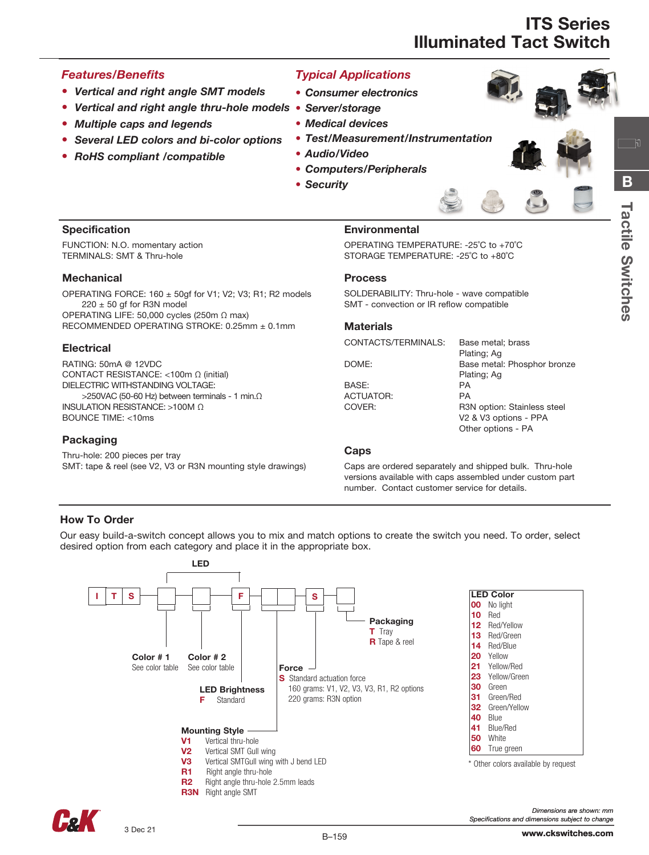#### *Features/Benefits*

- *Vertical and right angle SMT models*
- *Vertical and right angle thru-hole models* • *Server/storage*
- *Multiple caps and legends*
- *Several LED colors and bi-color options*
- *RoHS compliant /compatible*

### *Typical Applications*

- • *Consumer electronics*
- 
- • *Medical devices*
- *Test/Measurement/Instrumentation*
- *Audio/Video*
- *Computers/Peripherals*
- *Security*



一 问

#### **Specification**

FUNCTION: N.O. momentary action TERMINALS: SMT & Thru-hole

#### **Mechanical**

OPERATING FORCE:  $160 \pm 50$ gf for V1; V2; V3; R1; R2 models  $220 \pm 50$  gf for R3N model OPERATING LIFE: 50,000 cycles (250m Ω max) RECOMMENDED OPERATING STROKE: 0.25mm ± 0.1mm

#### **Electrical**

RATING: 50mA @ 12VDC CONTACT RESISTANCE: <100m Ω (initial) DIELECTRIC WITHSTANDING VOLTAGE:  $>$ 250VAC (50-60 Hz) between terminals - 1 min.Ω INSULATION RESISTANCE: >100M Ω BOUNCE TIME: <10ms

#### Packaging

Thru-hole: 200 pieces per tray SMT: tape & reel (see V2, V3 or R3N mounting style drawings)

#### Environmental

OPERATING TEMPERATURE: -25˚C to +70˚C STORAGE TEMPERATURE: -25˚C to +80˚C

#### Process

SOLDERABILITY: Thru-hole - wave compatible SMT - convection or IR reflow compatible

#### **Materials**

CONTACTS/TERMINALS: Base metal; brass Plating; Ag DOME: Base metal: Phosphor bronze Plating; Ag BASE: PA ACTUATOR: PA COVER: R3N option: Stainless steel V2 & V3 options - PPA Other options - PA

#### **Caps**

Caps are ordered separately and shipped bulk. Thru-hole versions available with caps assembled under custom part number. Contact customer service for details.

#### How To Order

Our easy build-a-switch concept allows you to mix and match options to create the switch you need. To order, select desired option from each category and place it in the appropriate box.



Fol

*Specifications and dimensions subject to change*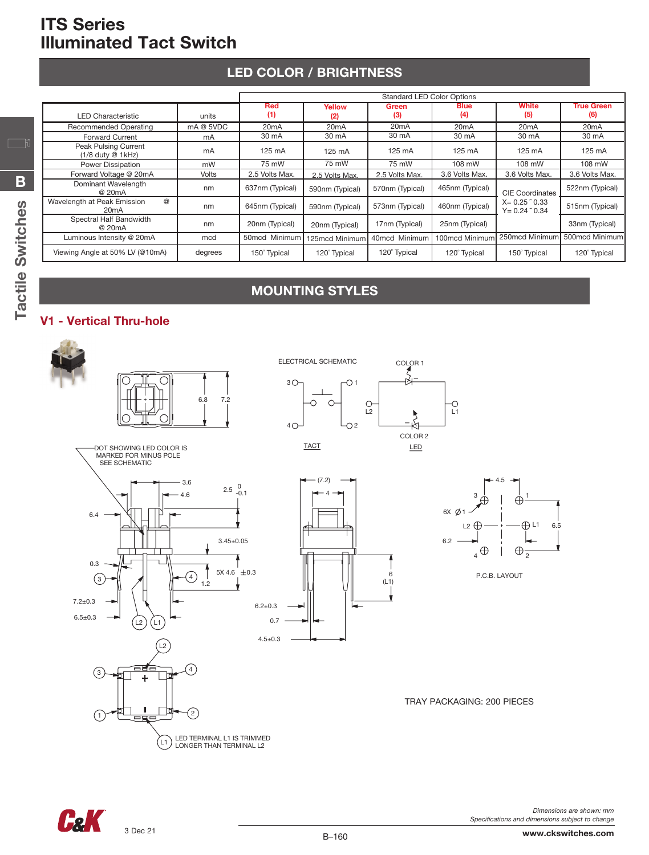## LED COLOR / BRIGHTNESS

|                                                                    |              | <b>Standard LED Color Options</b> |                   |                                                    |                    |                                                        |                          |
|--------------------------------------------------------------------|--------------|-----------------------------------|-------------------|----------------------------------------------------|--------------------|--------------------------------------------------------|--------------------------|
| <b>LED Characteristic</b>                                          | units        | Red<br>(1)                        | Yellow<br>(2)     | <b>Green</b><br>(3)                                | <b>Blue</b><br>(4) | White<br>(5)                                           | <b>True Green</b><br>(6) |
| <b>Recommended Operating</b>                                       | mA @ 5VDC    | 20 <sub>m</sub> A                 | 20 <sub>m</sub> A | 20 <sub>m</sub> A                                  | 20 <sub>m</sub> A  | 20 <sub>m</sub> A                                      | 20 <sub>m</sub> A        |
| <b>Forward Current</b>                                             | mA           | 30 mA                             | 30 mA             | 30 mA                                              | 30 mA              | 30 mA                                                  | 30 mA                    |
| Peak Pulsing Current<br>$(1/8$ duty @ 1kHz)                        | mA           | 125 mA                            | $125 \text{ mA}$  | 125 mA                                             | 125 mA             | 125 mA                                                 | 125 mA                   |
| Power Dissipation                                                  | mW           |                                   | 75 mW             | 75 mW                                              | 108 mW             | 108 mW                                                 | 108 mW                   |
| Forward Voltage @ 20mA                                             | <b>Volts</b> | 2.5 Volts Max.                    | 2.5 Volts Max.    | 3.6 Volts Max.<br>3.6 Volts Max.<br>2.5 Volts Max. |                    |                                                        | 3.6 Volts Max.           |
| Dominant Wavelength<br>@ 20mA                                      | nm           | 637nm (Typical)                   | 590nm (Typical)   | 570nm (Typical)                                    | 465nm (Typical)    | <b>CIE</b> Coordinates                                 | 522nm (Typical)          |
| $^{\circledR}$<br>Wavelength at Peak Emission<br>20 <sub>m</sub> A | nm           | 645nm (Typical)                   | 590nm (Typical)   | 573nm (Typical)                                    | 460nm (Typical)    | $X = 0.25$ $\degree$ 0.33<br>$Y = 0.24$ $\degree$ 0.34 | 515nm (Typical)          |
| Spectral Half Bandwidth<br>@ 20mA                                  | nm           | 20nm (Typical)                    | 20nm (Typical)    | 17nm (Typical)                                     | 25nm (Typical)     |                                                        | 33nm (Typical)           |
| Luminous Intensity @ 20mA                                          | mcd          | 50mcd Minimum                     | 125mcd Minimum    | 40mcd Minimum                                      | 100mcd Minimum     | 250mcd Minimum                                         | 500mcd Minimum           |
| Viewing Angle at 50% LV (@10mA)                                    | degrees      | 150° Typical                      | 120° Typical      | 120° Typical                                       | 120° Typical       | 150° Typical                                           | 120° Typical             |

## MOUNTING STYLES

### V1 - Vertical Thru-hole





*Dimensions are shown: mm Specifications and dimensions subject to change*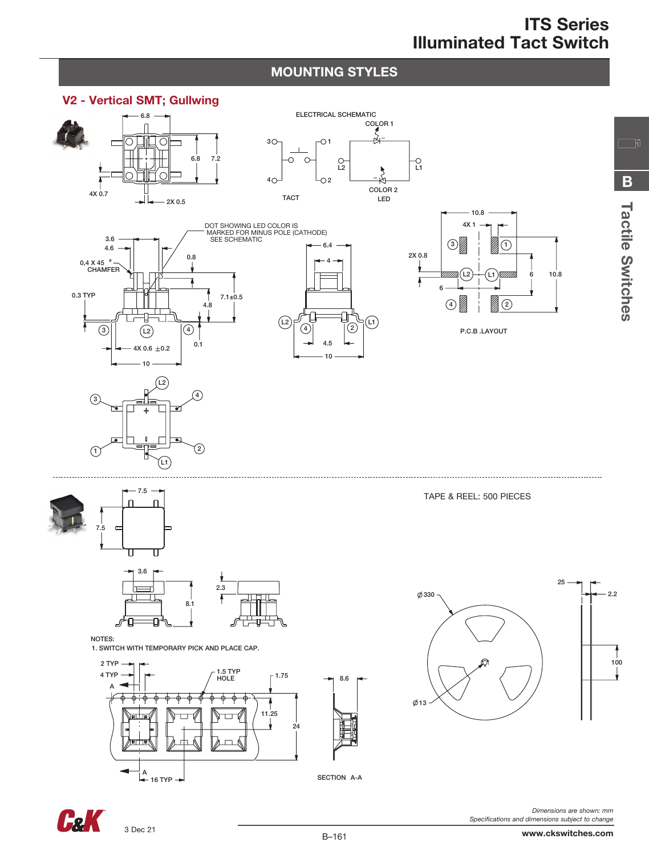### MOUNTING STYLES





*Specifications and dimensions subject to change*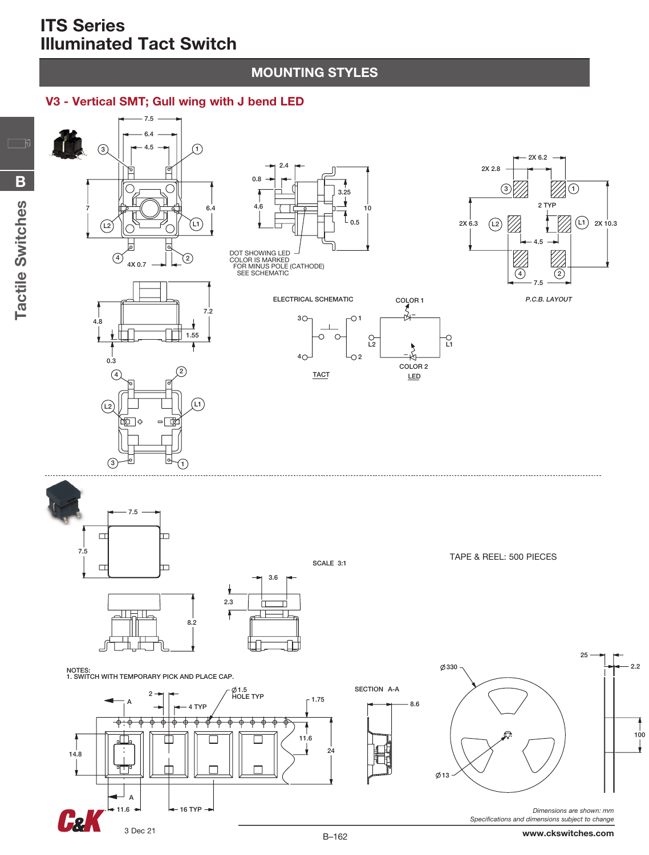Tactile Switches

Tactile Switches

B

 $\Box$ 

### MOUNTING STYLES

### V3 - Vertical SMT; Gull wing with J bend LED



100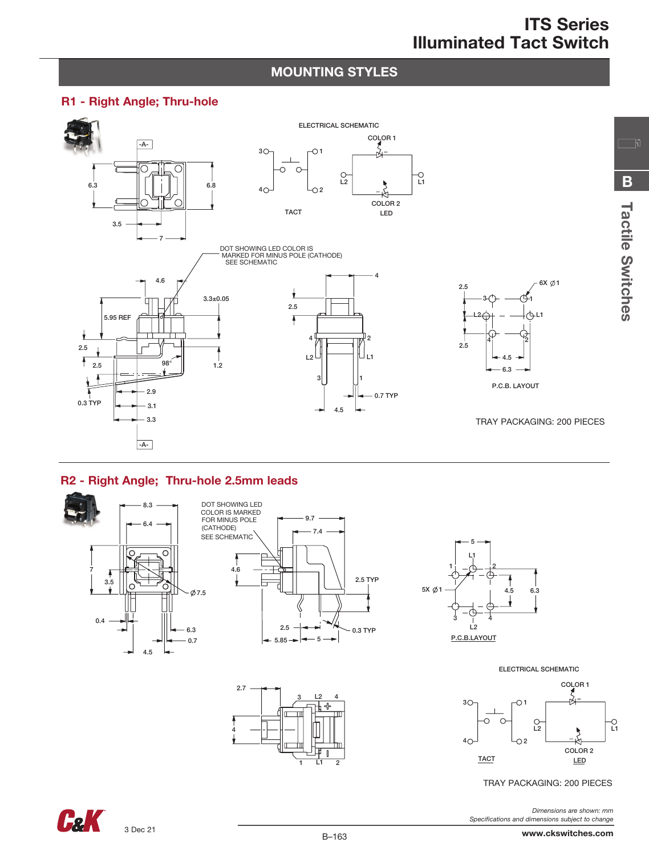Tactile Switches

**Tactile Switches** 

B

 $\Box$ 

### MOUNTING STYLES

#### R1 - Right Angle; Thru-hole



### R2 - Right Angle; Thru-hole 2.5mm leads

4





TRAY PACKAGING: 200 PIECES

*Dimensions are shown: mm Specifications and dimensions subject to change*

**CaK** 

2

L1

1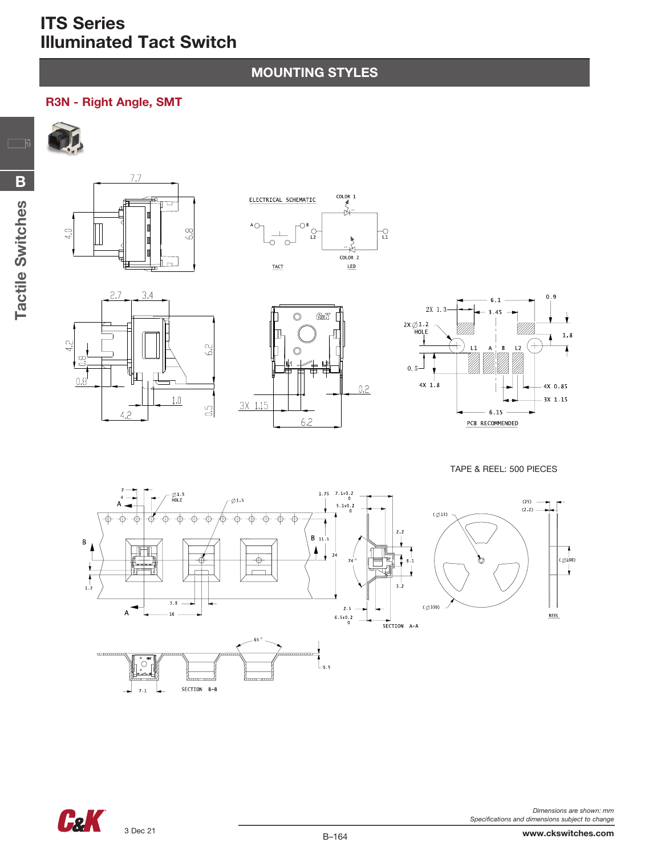## MOUNTING STYLES

### R3N - Right Angle, SMT

 $\Box$ 











TAPE & REEL: 500 PIECES





*Dimensions are shown: mm Specifications and dimensions subject to change*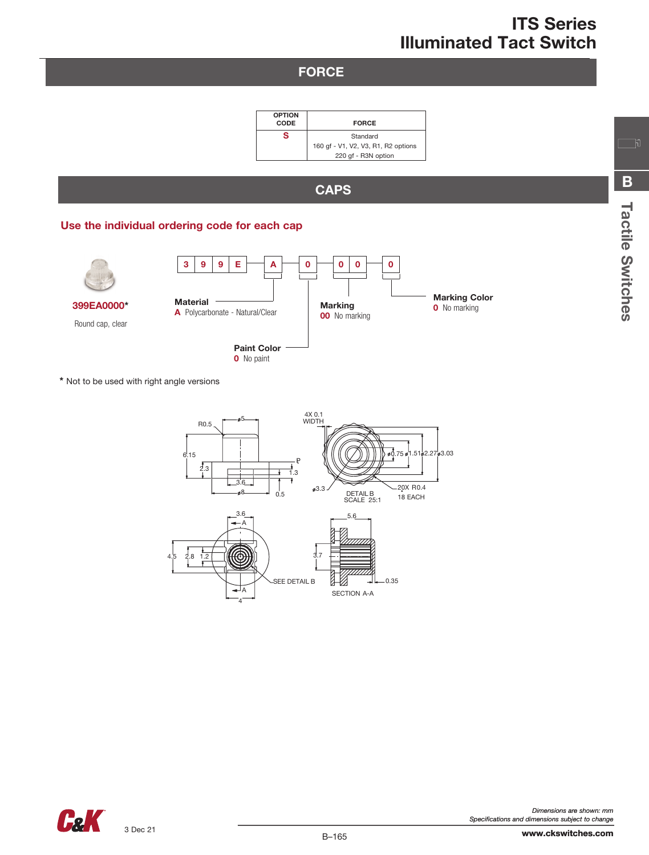### **FORCE**

| <b>OPTION</b><br>CODE | <b>FORCE</b>                        |
|-----------------------|-------------------------------------|
| s                     | Standard                            |
|                       | 160 gf - V1, V2, V3, R1, R2 options |
|                       | 220 gf - R3N option                 |

## **CAPS**

#### Use the individual ordering code for each cap



\* Not to be used with right angle versions





Tactile Switches

Tactile Switches

B

 $\Box$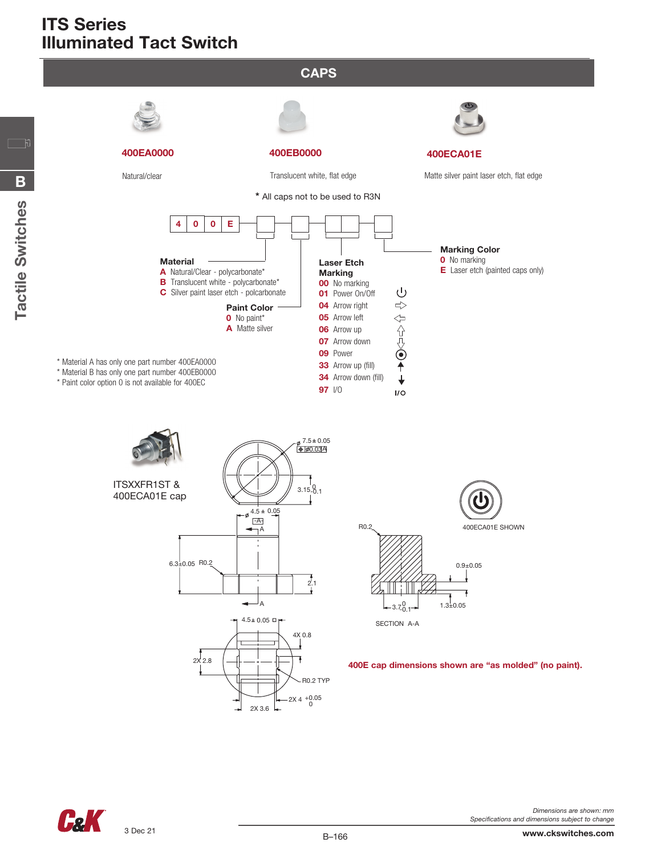









SECTION A-A

400E cap dimensions shown are "as molded" (no paint).

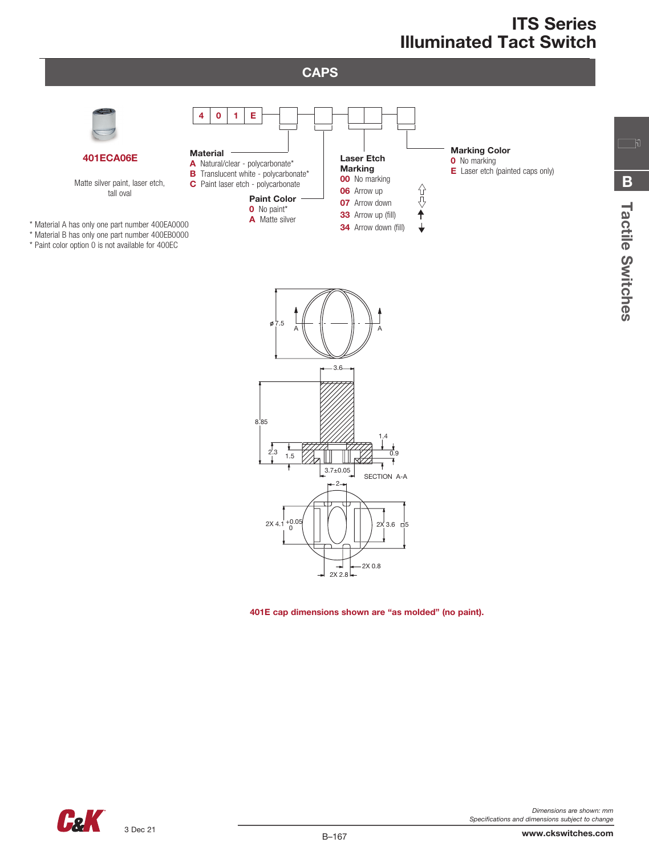

2.3 0.9

3.7±0.05

2

2X 4.1 +0.05 | | | | | | | | | | | 2X 3.6 <del>|</del> 5

 $2x$  2.8 $\Box$ 

1.5

 $^{+0.05}_{0}$ 

401E cap dimensions shown are "as molded" (no paint).

2X 0.8

1.4

SECTION A-A



Tactile Switches

Tactile Switches

B

 $\Box$